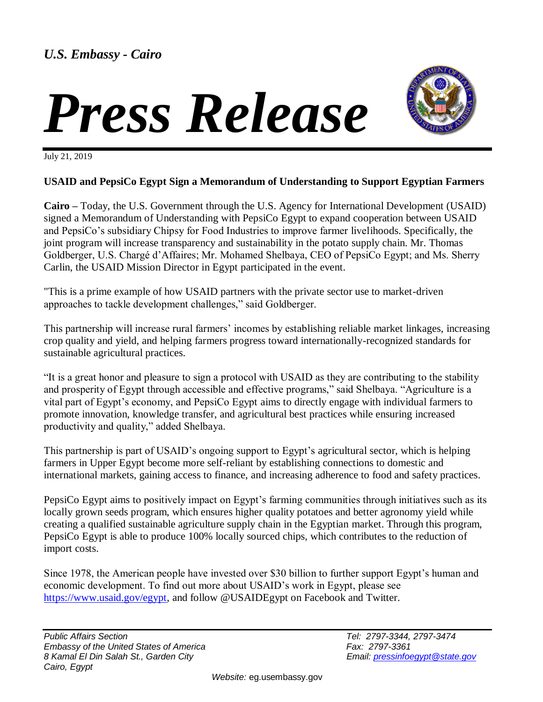## *Press Release*



July 21, 2019

## **USAID and PepsiCo Egypt Sign a Memorandum of Understanding to Support Egyptian Farmers**

**Cairo –** Today, the U.S. Government through the U.S. Agency for International Development (USAID) signed a Memorandum of Understanding with PepsiCo Egypt to expand cooperation between USAID and PepsiCo's subsidiary Chipsy for Food Industries to improve farmer livelihoods. Specifically, the joint program will increase transparency and sustainability in the potato supply chain. Mr. Thomas Goldberger, U.S. Chargé d'Affaires; Mr. Mohamed Shelbaya, CEO of PepsiCo Egypt; and Ms. Sherry Carlin, the USAID Mission Director in Egypt participated in the event.

"This is a prime example of how USAID partners with the private sector use to market-driven approaches to tackle development challenges," said Goldberger.

This partnership will increase rural farmers' incomes by establishing reliable market linkages, increasing crop quality and yield, and helping farmers progress toward internationally-recognized standards for sustainable agricultural practices.

"It is a great honor and pleasure to sign a protocol with USAID as they are contributing to the stability and prosperity of Egypt through accessible and effective programs," said Shelbaya. "Agriculture is a vital part of Egypt's economy, and PepsiCo Egypt aims to directly engage with individual farmers to promote innovation, knowledge transfer, and agricultural best practices while ensuring increased productivity and quality," added Shelbaya.

This partnership is part of USAID's ongoing support to Egypt's agricultural sector, which is helping farmers in Upper Egypt become more self-reliant by establishing connections to domestic and international markets, gaining access to finance, and increasing adherence to food and safety practices.

PepsiCo Egypt aims to positively impact on Egypt's farming communities through initiatives such as its locally grown seeds program, which ensures higher quality potatoes and better agronomy yield while creating a qualified sustainable agriculture supply chain in the Egyptian market. Through this program, PepsiCo Egypt is able to produce 100% locally sourced chips, which contributes to the reduction of import costs.

Since 1978, the American people have invested over \$30 billion to further support Egypt's human and economic development. To find out more about USAID's work in Egypt, please see [https://www.usaid.gov/egypt,](https://www.usaid.gov/egypt) and follow @USAIDEgypt on Facebook and Twitter.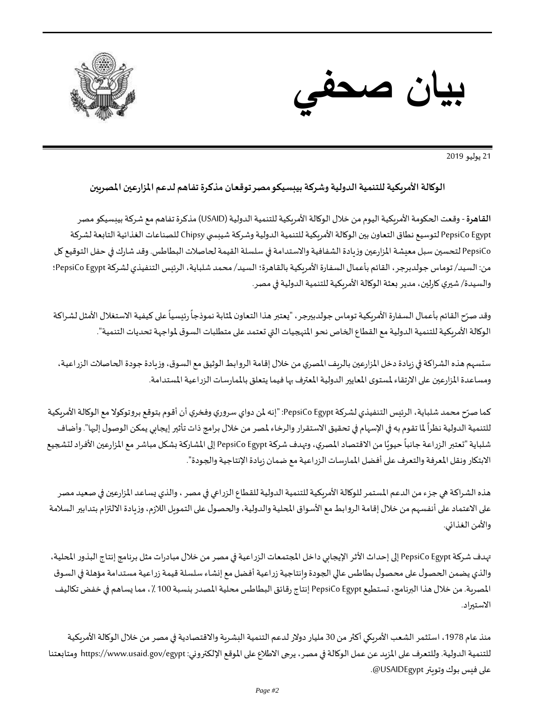



21 يوليو 2019

## **الوكالة األمريكية للتنمية الدولية وشركةبيبسيكومصرتوقعان مذكرةتفاهم لدعم املزارعين املصريين**

**القاهرة**- وقعت الحكومة األمريكية اليوم من خالل الوكالة األمريكية للتنمية الدولية )USAID )مذكرة تفاهم مع شركةبيبسيكو مصر PepsiCo Egypt لتوسيع نطاق التعاون بين الوكالة الأمريكية للتنمية الدولية وشركة شيبسي Chipsy للصناعات الغذائية التابعة لشركة PepsiCo لتحسين سبل معيشة المزارعين وزيادة الشفافية والاستدامة في سلسلة القيمة لحاصلات البطاطس. وقد شارك في حفل التوقيع كل من: السيد/ توماس جولدبرجر، القائم بأعمال السفارة الأمريكية بالقاهرة؛ السيد/ محمد شلباية، الرئيس التنفيذي لشركة PepsiCo Egypt؛ والسيدة/ شيري كارلين، مدير بعثة الوكالة الأمريكية للتنمية الدولية في مصر.

وقد صرّح القائم بأعمال السفارة الأمريكية توماس جولدبيرجر، "يعتبر هذا التعاون لمثابة نموذجاً رئيسياً على كيفية الاستغلال الأمثل لشراكة ֦֧֦֧֦֧֦֧֦֧֦֧֦֧֦֧  $\ddot{\cdot}$  $\ddot{\phantom{0}}$ الوكالة الأمريكية للتنمية الدولية مع القطاع الخاص نحو المنهجيات التي تعتمد على متطلبات السوق لمواجهة تحديات التنمية".

ستسهم هذه الشراكة في زيادة دخل المزارعين بالريف المصري من خلال إقامة الروابط الوثيق مع السوق، وزيادة جودة الحاصلات الزراعية، ومساعدة المزارعين على الارتقاء لمستوى المعايير الدولية المعترف بها فيما يتعلق بالممارسات الزراعية المستدامة.

كما صرّح محمد شلباية، الرئيس التنفيذي لشركة PepsiCo Egypt: "إنه لمن دواي سروري وفخري أن أقوم بتوقع بروتوكولا مع الوكالة الأمريكية ֦֧֦֧֦֧֦֧֦֧֦֧֦֧֦֧֦֧֦֧֡֡<br>֧֝ للتنمية الدولية نظراً لما تقوم به في الإسهام في تحقيق الاستقرار والرخاء لمصر من خلال برامج ذات تأثير إيجابي يمكن الوصول إليها". وأضاف .<br>i شلباية "تعتبر الزراعة جانباً حيويًا من الاقتصاد المصري، وتهدف شركة PepsiCo Egypt إلى المشاركة بشكل مباشر مع المزارعين الأفراد لتشجيع Ĭ ֦֧֦֧֦֧֦֧֦֧֧ׅ֧֦֧֦֧֚֚֚֚֚֚֚֚֚֚֚֚֚֚֚֬֡֝֝֜֜֓֝֬ الابتكار ونقل المعرفة والتعرف على أفضل الممارسات الزراعية مع ضمان زيادة الإنتاجية والجودة".

هذه الشراكة هي جزء من الدعم المستمر للوكالة الأمريكية للتنمية الدولية للقطاع الزراعي في مصر ، والذي يساعد المزارعين في صعيد مصر على الاعتماد على أنفسهم من خلال إقامة الروابط مع الأسواق المحلية والدولية، والحصول على التمويل اللازم، وزيادة الالتزام بتدابير السلامة والأمن الغذائي.

تهدف شركة PepsiCo Egypt إلى إحداث الأثر الإيجابي داخل المجتمعات الزراعية في مصر من خلال مبادرات مثل برنامج إنتاج البذور المحلية، والذي يضمن الحصول على محصول بطاطس عالى الجودة وإنتاجية زراعية أفضل مع إنشاء سلسلة قيمة زراعية مستدامة مؤهلة في السوق املصرية. من خالل هذا البرنامج، تستطيع Egypt PepsiCo إنتاج رقائق البطاطس محلية املصدر بنسبة 100 ،٪ مما يساهم في خفض تكاليف االستيراد.

منذ عام 1978، استثمر الشعب الأمريكي أكثر من 30 مليار دولار لدعم التنمية البشرية والاقتصادية في مصر من خلال الوكالة الأمريكية للتنمية الدولية. وللتعرف على المزيد عن عمل الوكالة في مصر، يرجى الاطلاع على الموقع الإلكتروني: https://www.usaid.gov/egypt ومتابعتنا على فيس بوك وتويتر USAIDEgypt@.